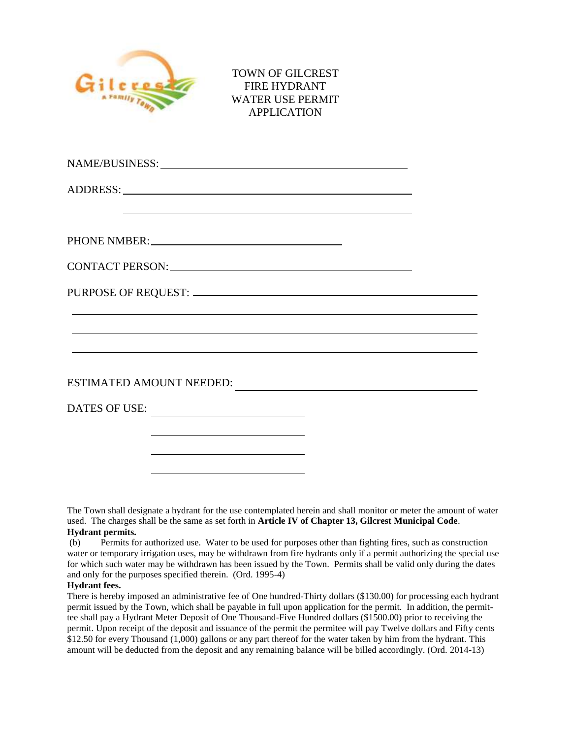

TOWN OF GILCREST FIRE HYDRANT WATER USE PERMIT APPLICATION

| <u> 1989 - Johann Barn, amerikan bernama di sebagai bernama dan bernama di sebagai bernama dalam bernama dalam b</u>                                                 |  |
|----------------------------------------------------------------------------------------------------------------------------------------------------------------------|--|
|                                                                                                                                                                      |  |
|                                                                                                                                                                      |  |
|                                                                                                                                                                      |  |
| ,我们也不会有什么。""我们的人,我们也不会有什么?""我们的人,我们也不会有什么?""我们的人,我们也不会有什么?""我们的人,我们也不会有什么?""我们的人                                                                                     |  |
| ,我们也不能在这里的时候,我们也不能会在这里,我们也不能会在这里,我们也不能会在这里,我们也不能会在这里,我们也不能会在这里,我们也不能会不能会不能会。""我们<br>,我们也不会有什么。""我们的人,我们也不会有什么?""我们的人,我们也不会有什么?""我们的人,我们也不会有什么?""我们的人,我们也不会有什么?""我们的人 |  |
| ESTIMATED AMOUNT NEEDED:                                                                                                                                             |  |
|                                                                                                                                                                      |  |
| the control of the control of the control of the control of the control of                                                                                           |  |
| <u> 1989 - Johann Barn, amerikansk politiker (d. 1989)</u>                                                                                                           |  |

The Town shall designate a hydrant for the use contemplated herein and shall monitor or meter the amount of water used. The charges shall be the same as set forth in **Article IV of Chapter 13, Gilcrest Municipal Code**. **Hydrant permits.**

(b) Permits for authorized use. Water to be used for purposes other than fighting fires, such as construction water or temporary irrigation uses, may be withdrawn from fire hydrants only if a permit authorizing the special use for which such water may be withdrawn has been issued by the Town. Permits shall be valid only during the dates and only for the purposes specified therein. (Ord. 1995-4)

## **Hydrant fees.**

There is hereby imposed an administrative fee of One hundred-Thirty dollars (\$130.00) for processing each hydrant permit issued by the Town, which shall be payable in full upon application for the permit. In addition, the permittee shall pay a Hydrant Meter Deposit of One Thousand-Five Hundred dollars (\$1500.00) prior to receiving the permit. Upon receipt of the deposit and issuance of the permit the permitee will pay Twelve dollars and Fifty cents \$12.50 for every Thousand (1,000) gallons or any part thereof for the water taken by him from the hydrant. This amount will be deducted from the deposit and any remaining balance will be billed accordingly. (Ord. 2014-13)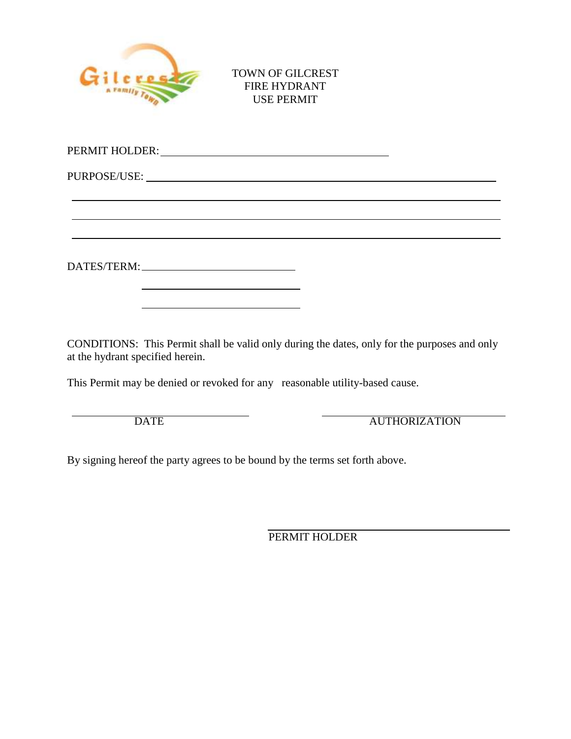

TOWN OF GILCREST FIRE HYDRANT USE PERMIT

| PERMIT HOLDER: University of the contract of the contract of the contract of the contract of the contract of the contract of the contract of the contract of the contract of the contract of the contract of the contract of t |  |
|--------------------------------------------------------------------------------------------------------------------------------------------------------------------------------------------------------------------------------|--|
|                                                                                                                                                                                                                                |  |
|                                                                                                                                                                                                                                |  |
|                                                                                                                                                                                                                                |  |
| DATES/TERM: University of the Second DATES/TERM:                                                                                                                                                                               |  |

CONDITIONS: This Permit shall be valid only during the dates, only for the purposes and only at the hydrant specified herein.

This Permit may be denied or revoked for any reasonable utility-based cause.

DATE AUTHORIZATION

By signing hereof the party agrees to be bound by the terms set forth above.

PERMIT HOLDER